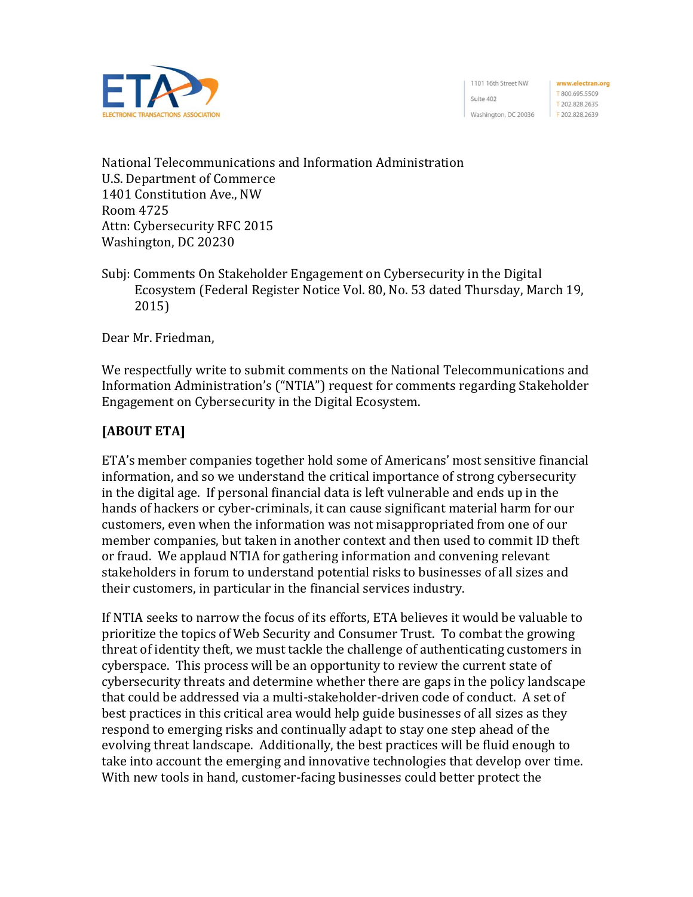

1101 16th Street NW Suite 402 Washington, DC 20036

www.electran.org T800.695.5509 T 202.828.2635 F 202.828.2639

National Telecommunications and Information Administration U.S. Department of Commerce 1401 Constitution Ave., NW Room 4725 Attn: Cybersecurity RFC 2015 Washington, DC 20230

Subj: Comments On Stakeholder Engagement on Cybersecurity in the Digital Ecosystem (Federal Register Notice Vol. 80, No. 53 dated Thursday, March 19, 2015)

Dear Mr. Friedman,

We respectfully write to submit comments on the National Telecommunications and Information Administration's ("NTIA") request for comments regarding Stakeholder Engagement on Cybersecurity in the Digital Ecosystem.

## **[ABOUT ETA]**

ETA's member companies together hold some of Americans' most sensitive financial information, and so we understand the critical importance of strong cybersecurity in the digital age. If personal financial data is left vulnerable and ends up in the hands of hackers or cyber-criminals, it can cause significant material harm for our customers, even when the information was not misappropriated from one of our member companies, but taken in another context and then used to commit ID theft or fraud. We applaud NTIA for gathering information and convening relevant stakeholders in forum to understand potential risks to businesses of all sizes and their customers, in particular in the financial services industry.

If NTIA seeks to narrow the focus of its efforts, ETA believes it would be valuable to prioritize the topics of Web Security and Consumer Trust. To combat the growing threat of identity theft, we must tackle the challenge of authenticating customers in cyberspace. This process will be an opportunity to review the current state of cybersecurity threats and determine whether there are gaps in the policy landscape that could be addressed via a multi-stakeholder-driven code of conduct. A set of best practices in this critical area would help guide businesses of all sizes as they respond to emerging risks and continually adapt to stay one step ahead of the evolving threat landscape. Additionally, the best practices will be fluid enough to take into account the emerging and innovative technologies that develop over time. With new tools in hand, customer-facing businesses could better protect the